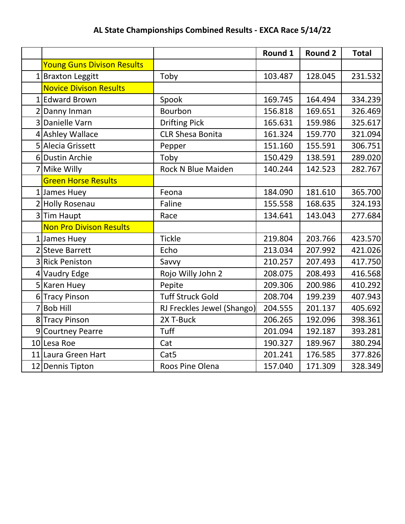## **AL State Championships Combined Results - EXCA Race 5/14/22**

|                                   |                            | Round 1 | <b>Round 2</b> | <b>Total</b> |
|-----------------------------------|----------------------------|---------|----------------|--------------|
| <b>Young Guns Divison Results</b> |                            |         |                |              |
| 1 Braxton Leggitt                 | Toby                       | 103.487 | 128.045        | 231.532      |
| <b>Novice Divison Results</b>     |                            |         |                |              |
| 1 Edward Brown                    | Spook                      | 169.745 | 164.494        | 334.239      |
| 2 Danny Inman                     | Bourbon                    | 156.818 | 169.651        | 326.469      |
| 3 Danielle Varn                   | <b>Drifting Pick</b>       | 165.631 | 159.986        | 325.617      |
| 4 Ashley Wallace                  | <b>CLR Shesa Bonita</b>    | 161.324 | 159.770        | 321.094      |
| 5 Alecia Grissett                 | Pepper                     | 151.160 | 155.591        | 306.751      |
| 6 Dustin Archie                   | Toby                       | 150.429 | 138.591        | 289.020      |
| 7 Mike Willy                      | <b>Rock N Blue Maiden</b>  | 140.244 | 142.523        | 282.767      |
| <b>Green Horse Results</b>        |                            |         |                |              |
| 1 James Huey                      | Feona                      | 184.090 | 181.610        | 365.700      |
| 2 Holly Rosenau                   | Faline                     | 155.558 | 168.635        | 324.193      |
| 3Tim Haupt                        | Race                       | 134.641 | 143.043        | 277.684      |
| <b>Non Pro Divison Results</b>    |                            |         |                |              |
| 1 James Huey                      | <b>Tickle</b>              | 219.804 | 203.766        | 423.570      |
| 2 Steve Barrett                   | Echo                       | 213.034 | 207.992        | 421.026      |
| 3 Rick Peniston                   | Savvy                      | 210.257 | 207.493        | 417.750      |
| 4 Vaudry Edge                     | Rojo Willy John 2          | 208.075 | 208.493        | 416.568      |
| 5 Karen Huey                      | Pepite                     | 209.306 | 200.986        | 410.292      |
| 6 Tracy Pinson                    | <b>Tuff Struck Gold</b>    | 208.704 | 199.239        | 407.943      |
| 7 Bob Hill                        | RJ Freckles Jewel (Shango) | 204.555 | 201.137        | 405.692      |
| 8 Tracy Pinson                    | 2X T-Buck                  | 206.265 | 192.096        | 398.361      |
| 9 Courtney Pearre                 | Tuff                       | 201.094 | 192.187        | 393.281      |
| 10 Lesa Roe                       | Cat                        | 190.327 | 189.967        | 380.294      |
| 11 Laura Green Hart               | Cat <sub>5</sub>           | 201.241 | 176.585        | 377.826      |
| 12 Dennis Tipton                  | Roos Pine Olena            | 157.040 | 171.309        | 328.349      |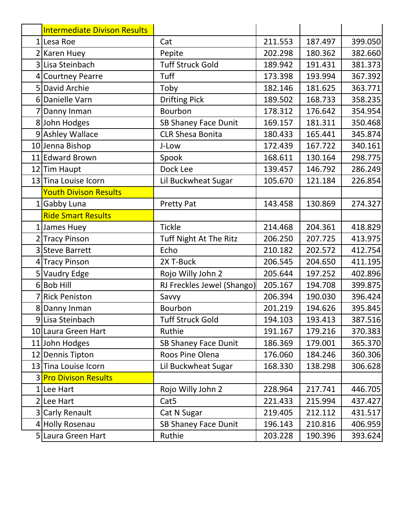|   | <b>Intermediate Divison Results</b> |                             |         |         |         |
|---|-------------------------------------|-----------------------------|---------|---------|---------|
|   | 1 Lesa Roe                          | Cat                         | 211.553 | 187.497 | 399.050 |
|   | 2 Karen Huey                        | Pepite                      | 202.298 | 180.362 | 382.660 |
|   | 3 Lisa Steinbach                    | <b>Tuff Struck Gold</b>     | 189.942 | 191.431 | 381.373 |
|   | 4 Courtney Pearre                   | <b>Tuff</b>                 | 173.398 | 193.994 | 367.392 |
|   | 5 David Archie                      | Toby                        | 182.146 | 181.625 | 363.771 |
|   | 6 Danielle Varn                     | <b>Drifting Pick</b>        | 189.502 | 168.733 | 358.235 |
| 7 | Danny Inman                         | Bourbon                     | 178.312 | 176.642 | 354.954 |
|   | 8 John Hodges                       | <b>SB Shaney Face Dunit</b> | 169.157 | 181.311 | 350.468 |
|   | 9 Ashley Wallace                    | <b>CLR Shesa Bonita</b>     | 180.433 | 165.441 | 345.874 |
|   | 10 Jenna Bishop                     | J-Low                       | 172.439 | 167.722 | 340.161 |
|   | 11 Edward Brown                     | Spook                       | 168.611 | 130.164 | 298.775 |
|   | 12 Tim Haupt                        | Dock Lee                    | 139.457 | 146.792 | 286.249 |
|   | 13 Tina Louise Icorn                | Lil Buckwheat Sugar         | 105.670 | 121.184 | 226.854 |
|   | <b>Youth Divison Results</b>        |                             |         |         |         |
|   | 1 Gabby Luna                        | <b>Pretty Pat</b>           | 143.458 | 130.869 | 274.327 |
|   | <b>Ride Smart Results</b>           |                             |         |         |         |
|   | 1 James Huey                        | <b>Tickle</b>               | 214.468 | 204.361 | 418.829 |
|   | 2 Tracy Pinson                      | Tuff Night At The Ritz      | 206.250 | 207.725 | 413.975 |
|   | 3 Steve Barrett                     | Echo                        | 210.182 | 202.572 | 412.754 |
|   | 4 Tracy Pinson                      | 2X T-Buck                   | 206.545 | 204.650 | 411.195 |
|   | 5 Vaudry Edge                       | Rojo Willy John 2           | 205.644 | 197.252 | 402.896 |
|   | $6$ Bob Hill                        | RJ Freckles Jewel (Shango)  | 205.167 | 194.708 | 399.875 |
|   | 7 Rick Peniston                     | Savvy                       | 206.394 | 190.030 | 396.424 |
|   | 8 Danny Inman                       | Bourbon                     | 201.219 | 194.626 | 395.845 |
|   | 9 Lisa Steinbach                    | <b>Tuff Struck Gold</b>     | 194.103 | 193.413 | 387.516 |
|   | 10 Laura Green Hart                 | Ruthie                      | 191.167 | 179.216 | 370.383 |
|   | 11 John Hodges                      | SB Shaney Face Dunit        | 186.369 | 179.001 | 365.370 |
|   | 12 Dennis Tipton                    | Roos Pine Olena             | 176.060 | 184.246 | 360.306 |
|   | 13 Tina Louise Icorn                | Lil Buckwheat Sugar         | 168.330 | 138.298 | 306.628 |
|   | <b>3 Pro Divison Results</b>        |                             |         |         |         |
|   | 1 Lee Hart                          | Rojo Willy John 2           | 228.964 | 217.741 | 446.705 |
|   | 2 Lee Hart                          | Cat <sub>5</sub>            | 221.433 | 215.994 | 437.427 |
|   | 3 Carly Renault                     | Cat N Sugar                 | 219.405 | 212.112 | 431.517 |
|   | 4 Holly Rosenau                     | <b>SB Shaney Face Dunit</b> | 196.143 | 210.816 | 406.959 |
|   | 5 Laura Green Hart                  | Ruthie                      | 203.228 | 190.396 | 393.624 |